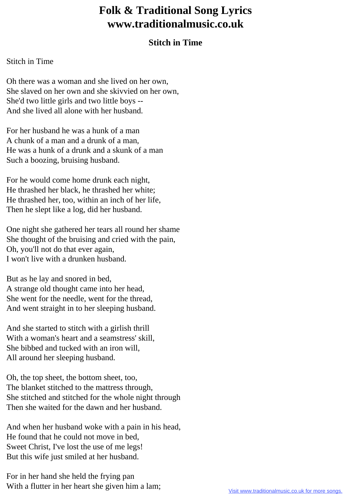## **Folk & Traditional Song Lyrics www.traditionalmusic.co.uk**

## **Stitch in Time**

Stitch in Time

Oh there was a woman and she lived on her own, She slaved on her own and she skivvied on her own, She'd two little girls and two little boys -- And she lived all alone with her husband.

For her husband he was a hunk of a man A chunk of a man and a drunk of a man, He was a hunk of a drunk and a skunk of a man Such a boozing, bruising husband.

For he would come home drunk each night, He thrashed her black, he thrashed her white; He thrashed her, too, within an inch of her life, Then he slept like a log, did her husband.

One night she gathered her tears all round her shame She thought of the bruising and cried with the pain, Oh, you'll not do that ever again, I won't live with a drunken husband.

But as he lay and snored in bed, A strange old thought came into her head, She went for the needle, went for the thread, And went straight in to her sleeping husband.

And she started to stitch with a girlish thrill With a woman's heart and a seamstress' skill, She bibbed and tucked with an iron will, All around her sleeping husband.

Oh, the top sheet, the bottom sheet, too, The blanket stitched to the mattress through, She stitched and stitched for the whole night through Then she waited for the dawn and her husband.

And when her husband woke with a pain in his head, He found that he could not move in bed, Sweet Christ, I've lost the use of me legs! But this wife just smiled at her husband.

For in her hand she held the frying pan With a flutter in her heart she given him a lam;